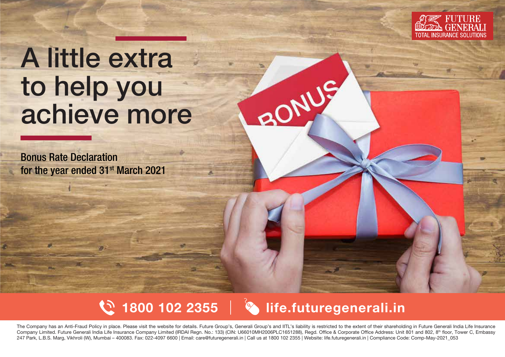

# A little extra to help you achieve more

Bonus Rate Declaration for the year ended 31<sup>st</sup> March 2021





RONDS

The Company has an Anti-Fraud Policy in place. Please visit the website for details. Future Group's, Generali Group's and IITL's liability is restricted to the extent of their shareholding in Future Generali India Life Ins Company Limited. Future Generali India Life Insurance Company Limited (IRDAI Regn. No.: 133) (CIN: U66010MH2006PLC1651288), Regd. Office & Corporate Office Address: Unit 801 and 802, 8<sup>th</sup> floor, Tower C, Embassy 247 Park, L.B.S. Marg, Vikhroli (W), Mumbai – 400083. Fax: 022-4097 6600 | Email: care@futuregenerali.in | Call us at 1800 102 2355 | Website: life.futuregenerali.in | Compliance Code: Comp-May-2021\_053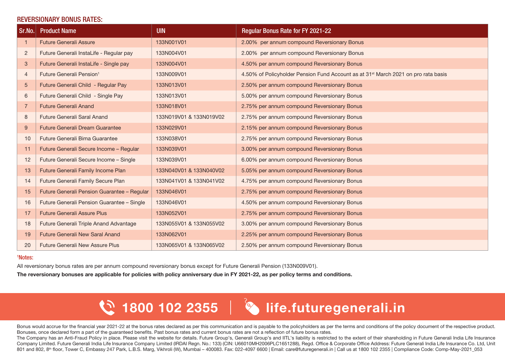#### REVERSIONARY BONUS RATES:

| $\vert$ Sr.No. $\vert$ | <b>Product Name</b>                         | <b>UIN</b>              | <b>Regular Bonus Rate for FY 2021-22</b>                                                       |
|------------------------|---------------------------------------------|-------------------------|------------------------------------------------------------------------------------------------|
|                        | <b>Future Generali Assure</b>               | 133N001V01              | 2.00% per annum compound Reversionary Bonus                                                    |
| 2                      | Future Generali InstaLife - Regular pay     | 133N004V01              | 2.00% per annum compound Reversionary Bonus                                                    |
| 3                      | Future Generali InstaLife - Single pay      | 133N004V01              | 4.50% per annum compound Reversionary Bonus                                                    |
| $\overline{4}$         | Future Generali Pension <sup>1</sup>        | 133N009V01              | 4.50% of Policyholder Pension Fund Account as at 31 <sup>st</sup> March 2021 on pro rata basis |
| $\overline{5}$         | Future Generali Child - Regular Pay         | 133N013V01              | 2.50% per annum compound Reversionary Bonus                                                    |
| 6                      | Future Generali Child - Single Pay          | 133N013V01              | 5.00% per annum compound Reversionary Bonus                                                    |
| 7                      | <b>Future Generali Anand</b>                | 133N018V01              | 2.75% per annum compound Reversionary Bonus                                                    |
| 8                      | Future Generali Saral Anand                 | 133N019V01 & 133N019V02 | 2.75% per annum compound Reversionary Bonus                                                    |
| 9                      | <b>Future Generali Dream Guarantee</b>      | 133N029V01              | 2.15% per annum compound Reversionary Bonus                                                    |
| 10                     | Future Generali Bima Guarantee              | 133N038V01              | 2.75% per annum compound Reversionary Bonus                                                    |
| 11                     | Future Generali Secure Income - Regular     | 133N039V01              | 3.00% per annum compound Reversionary Bonus                                                    |
| 12                     | Future Generali Secure Income - Single      | 133N039V01              | 6.00% per annum compound Reversionary Bonus                                                    |
| 13                     | Future Generali Family Income Plan          | 133N040V01 & 133N040V02 | 5.05% per annum compound Reversionary Bonus                                                    |
| 14                     | Future Generali Family Secure Plan          | 133N041V01 & 133N041V02 | 4.75% per annum compound Reversionary Bonus                                                    |
| 15                     | Future Generali Pension Guarantee - Regular | 133N046V01              | 2.75% per annum compound Reversionary Bonus                                                    |
| 16                     | Future Generali Pension Guarantee - Single  | 133N046V01              | 4.50% per annum compound Reversionary Bonus                                                    |
| 17                     | <b>Future Generali Assure Plus</b>          | 133N052V01              | 2.75% per annum compound Reversionary Bonus                                                    |
| 18                     | Future Generali Triple Anand Advantage      | 133N055V01 & 133N055V02 | 3.00% per annum compound Reversionary Bonus                                                    |
| 19                     | <b>Future Generali New Saral Anand</b>      | 133N062V01              | 2.25% per annum compound Reversionary Bonus                                                    |
| 20                     | <b>Future Generali New Assure Plus</b>      | 133N065V01 & 133N065V02 | 2.50% per annum compound Reversionary Bonus                                                    |

#### 1 Notes:

All reversionary bonus rates are per annum compound reversionary bonus except for Future Generali Pension (133N009V01).

The reversionary bonuses are applicable for policies with policy anniversary due in FY 2021-22, as per policy terms and conditions.

## $\mathbb{C}$  1800 102 2355  $\|\cdot\|$  life.futuregenerali.in

Bonus would accrue for the financial year 2021-22 at the bonus rates declared as per this communication and is payable to the policyholders as per the terms and conditions of the policy document of the respective product. Bonuses, once declared form a part of the quaranteed benefits. Past bonus rates and current bonus rates are not a reflection of future bonus rates.

The Company has an Anti-Fraud Policy in place. Please visit the website for details. Future Group's, Generali Group's and IITL's liability is restricted to the extent of their shareholding in Future Generali India Life Ins Company Limited. Future Generali India Life Insurance Company Limited (IRDAI Regn. No.: 133) (CIN: U66010MH2006PLC1651288), Regd. Office & Corporate Office Address: Future Generali India Life Insurance Co. Ltd, Unit 801 and 802, 8<sup>th</sup> floor, Tower C, Embassy 247 Park, L.B.S. Marg, Vikhroli (W), Mumbai – 400083. Fax: 022-4097 6600 | Email: care@futuregenerali.in | Call us at 1800 102 2355 | Compliance Code: Comp-May-2021\_053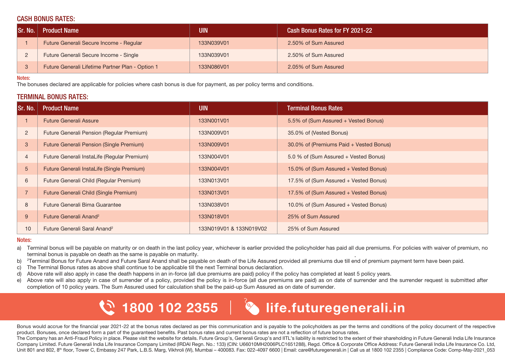#### CASH BONUS RATES:

| <b>Sr. No.</b> | <b>Product Name</b>                              | UIN        | Cash Bonus Rates for FY 2021-22 |
|----------------|--------------------------------------------------|------------|---------------------------------|
|                | Future Generali Secure Income - Regular          | 133N039V01 | 2.50% of Sum Assured            |
|                | Future Generali Secure Income - Single           | 133N039V01 | 2.50% of Sum Assured            |
|                | Future Generali Lifetime Partner Plan - Option 1 | 133N086V01 | 2.05% of Sum Assured            |

#### Notes:

The bonuses declared are applicable for policies where cash bonus is due for payment, as per policy terms and conditions.

#### TERMINAL BONUS RATES:

| Sr. No.        | <b>Product Name</b>                         | <b>UIN</b>              | <b>Terminal Bonus Rates</b>             |
|----------------|---------------------------------------------|-------------------------|-----------------------------------------|
|                | <b>Future Generali Assure</b>               | 133N001V01              | 5.5% of (Sum Assured + Vested Bonus)    |
| $\overline{2}$ | Future Generali Pension (Regular Premium)   | 133N009V01              | 35.0% of (Vested Bonus)                 |
| 3              | Future Generali Pension (Single Premium)    | 133N009V01              | 30.0% of (Premiums Paid + Vested Bonus) |
| $\overline{4}$ | Future Generali InstaLife (Regular Premium) | 133N004V01              | 5.0 % of (Sum Assured + Vested Bonus)   |
| 5              | Future Generali InstaLife (Single Premium)  | 133N004V01              | 15.0% of (Sum Assured + Vested Bonus)   |
| 6              | Future Generali Child (Regular Premium)     | 133N013V01              | 17.5% of (Sum Assured + Vested Bonus)   |
|                | Future Generali Child (Single Premium)      | 133N013V01              | 17.5% of (Sum Assured + Vested Bonus)   |
| 8              | Future Generali Bima Guarantee              | 133N038V01              | 10.0% of (Sum Assured + Vested Bonus)   |
| 9              | Future Generali Anand <sup>2</sup>          | 133N018V01              | 25% of Sum Assured                      |
| 10             | Future Generali Saral Anand <sup>2</sup>    | 133N019V01 & 133N019V02 | 25% of Sum Assured                      |

#### Notes:

- . a) Terminal bonus will be payable on maturity or on death in the last policy year, whichever is earlier provided the policyholder has paid all due premiums. For policies with waiver of premium, no terminal bonus is payable on death as the same is payable on maturity.
- $b)$ Terminal Bonus for Future Anand and Future Saral Anand shall be payable on death of the Life Assured provided all premiums due till end of premium payment term have been paid.
- c) The Terminal Bonus rates as above shall continue to be applicable till the next Terminal bonus declaration.
- d) Above rate will also apply in case the death happens in an in-force (all due premiums are paid) policy if the policy has completed at least 5 policy years.
- e) Above rate will also apply in case of surrender of a policy, provided the policy is in-force (all due premiums are paid) as on date of surrender and the surrender request is submitted after completion of 10 policy years. The Sum Assured used for calculation shall be the paid-up Sum Assured as on date of surrender.



### $\mathbb{C}$  1800 102 2355  $\|\cdot\|$  life.futuregenerali.in

Bonus would accrue for the financial year 2021-22 at the bonus rates declared as per this communication and is payable to the policyholders as per the terms and conditions of the policy document of the respective product. Bonuses, once declared form a part of the guaranteed benefits. Past bonus rates and current bonus rates are not a reflection of future bonus rates.

The Company has an Anti-Fraud Policy in place. Please visit the website for details. Future Group's, Generali Group's and IITL's liability is restricted to the extent of their shareholding in Future Generali India Life Ins Company Limited. Future Generali India Life Insurance Company Limited (IRDAI Regn. No.: 133) (CIN: U66010MH2006PLC1651288), Regd. Office & Corporate Office Address: Future Generali India Life Insurance Co. Ltd, Unit 801 and 802, 8<sup>th</sup> floor, Tower C, Embassy 247 Park, L.B.S. Marg, Vikhroli (W), Mumbai – 400083. Fax: 022-4097 6600 | Email: care@futuregenerali.in | Call us at 1800 102 2355 | Compliance Code: Comp-May-2021\_053